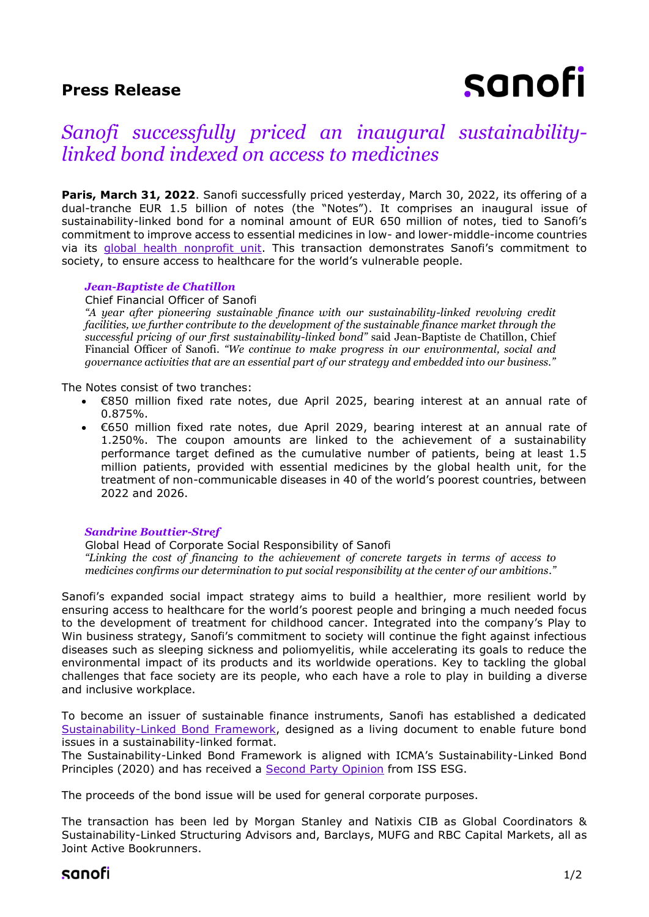## **Press Release**

# sanofi

# *Sanofi successfully priced an inaugural sustainabilitylinked bond indexed on access to medicines*

Paris, March 31, 2022. Sanofi successfully priced yesterday, March 30, 2022, its offering of a dual-tranche EUR 1.5 billion of notes (the "Notes"). It comprises an inaugural issue of sustainability-linked bond for a nominal amount of EUR 650 million of notes, tied to Sanofi's commitment to improve access to essential medicines in low- and lower-middle-income countries via its [global health nonprofit unit.](https://www.sanofi.com/en/media-room/press-releases/2021/2021-04-07-09-03-41-2205543) This transaction demonstrates Sanofi's commitment to society, to ensure access to healthcare for the world's vulnerable people.

#### *Jean-Baptiste de Chatillon*

Chief Financial Officer of Sanofi

*"A year after pioneering sustainable finance with our sustainability-linked revolving credit facilities, we further contribute to the development of the sustainable finance market through the successful pricing of our first sustainability-linked bond"* said Jean-Baptiste de Chatillon, Chief Financial Officer of Sanofi. *"We continue to make progress in our environmental, social and governance activities that are an essential part of our strategy and embedded into our business."*

The Notes consist of two tranches:

- €850 million fixed rate notes, due April 2025, bearing interest at an annual rate of 0.875%.
- €650 million fixed rate notes, due April 2029, bearing interest at an annual rate of 1.250%. The coupon amounts are linked to the achievement of a sustainability performance target defined as the cumulative number of patients, being at least 1.5 million patients, provided with essential medicines by the global health unit, for the treatment of non-communicable diseases in 40 of the world's poorest countries, between 2022 and 2026.

#### *Sandrine Bouttier-Stref*

Global Head of Corporate Social Responsibility of Sanofi *"Linking the cost of financing to the achievement of concrete targets in terms of access to medicines confirms our determination to put social responsibility at the center of our ambitions."*

Sanofi's expanded social impact strategy aims to build a healthier, more resilient world by ensuring access to healthcare for the world's poorest people and bringing a much needed focus to the development of treatment for childhood cancer. Integrated into the company's Play to Win business strategy, Sanofi's commitment to society will continue the fight against infectious diseases such as sleeping sickness and poliomyelitis, while accelerating its goals to reduce the environmental impact of its products and its worldwide operations. Key to tackling the global challenges that face society are its people, who each have a role to play in building a diverse and inclusive workplace.

To become an issuer of sustainable finance instruments, Sanofi has established a dedicated [Sustainability-Linked Bond Framework,](https://www.sanofi.com/-/media/Project/One-Sanofi-Web/Websites/Global/Sanofi-COM/Home/en/investors/docs/Sanofi_Sustainability-linked_bond_framework.pdf?la=en&hash=233E11CEE2D75071C572105AFBAE27E4) designed as a living document to enable future bond issues in a sustainability-linked format.

The Sustainability-Linked Bond Framework is aligned with ICMA's Sustainability-Linked Bond Principles (2020) and has received a [Second Party Opinion](https://www.sanofi.com/-/media/Project/One-Sanofi-Web/Websites/Global/Sanofi-COM/Home/en/investors/docs/Sanofi-Second-Party-Opinion-ISS-ESG.pdf) from ISS ESG.

The proceeds of the bond issue will be used for general corporate purposes.

The transaction has been led by Morgan Stanley and Natixis CIB as Global Coordinators & Sustainability-Linked Structuring Advisors and, Barclays, MUFG and RBC Capital Markets, all as Joint Active Bookrunners.

### sanofi